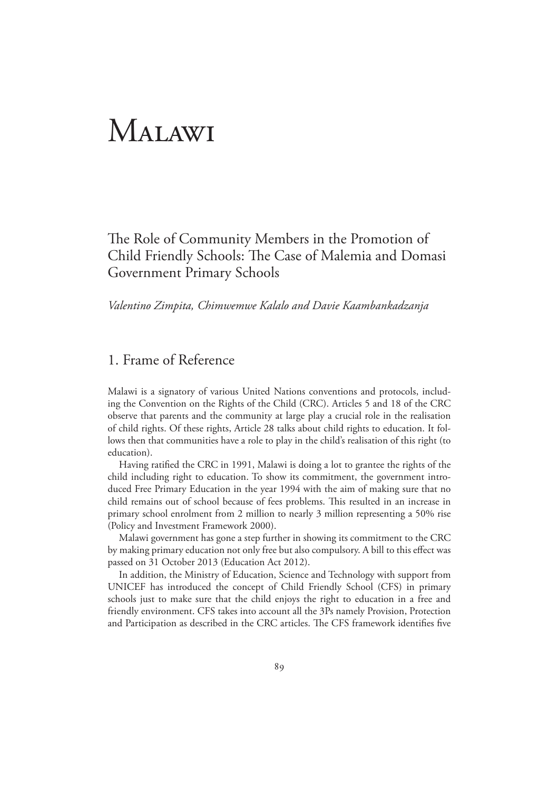# Malawi

The Role of Community Members in the Promotion of Child Friendly Schools: The Case of Malemia and Domasi Government Primary Schools

*Valentino Zimpita, Chimwemwe Kalalo and Davie Kaambankadzanja*

# 1. Frame of Reference

Malawi is a signatory of various United Nations conventions and protocols, including the Convention on the Rights of the Child (CRC). Articles 5 and 18 of the CRC observe that parents and the community at large play a crucial role in the realisation of child rights. Of these rights, Article 28 talks about child rights to education. It follows then that communities have a role to play in the child's realisation of this right (to education).

 Having ratified the CRC in 1991, Malawi is doing a lot to grantee the rights of the child including right to education. To show its commitment, the government introduced Free Primary Education in the year 1994 with the aim of making sure that no child remains out of school because of fees problems. This resulted in an increase in primary school enrolment from 2 million to nearly 3 million representing a 50% rise (Policy and Investment Framework 2000).

 Malawi government has gone a step further in showing its commitment to the CRC by making primary education not only free but also compulsory. A bill to this effect was passed on 31 October 2013 (Education Act 2012).

 In addition, the Ministry of Education, Science and Technology with support from UNICEF has introduced the concept of Child Friendly School (CFS) in primary schools just to make sure that the child enjoys the right to education in a free and friendly environment. CFS takes into account all the 3Ps namely Provision, Protection and Participation as described in the CRC articles. The CFS framework identifies five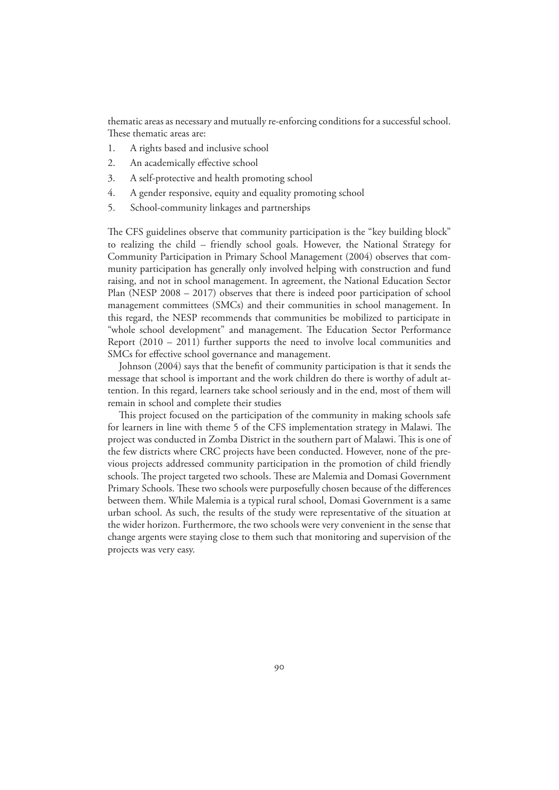thematic areas as necessary and mutually re-enforcing conditions for a successful school. These thematic areas are:

- 1. A rights based and inclusive school
- 2. An academically effective school
- 3. A self-protective and health promoting school
- 4. A gender responsive, equity and equality promoting school
- 5. School-community linkages and partnerships

The CFS guidelines observe that community participation is the "key building block" to realizing the child – friendly school goals. However, the National Strategy for Community Participation in Primary School Management (2004) observes that community participation has generally only involved helping with construction and fund raising, and not in school management. In agreement, the National Education Sector Plan (NESP 2008 – 2017) observes that there is indeed poor participation of school management committees (SMCs) and their communities in school management. In this regard, the NESP recommends that communities be mobilized to participate in "whole school development" and management. The Education Sector Performance Report (2010 – 2011) further supports the need to involve local communities and SMCs for effective school governance and management.

 Johnson (2004) says that the benefit of community participation is that it sends the message that school is important and the work children do there is worthy of adult attention. In this regard, learners take school seriously and in the end, most of them will remain in school and complete their studies

 This project focused on the participation of the community in making schools safe for learners in line with theme 5 of the CFS implementation strategy in Malawi. The project was conducted in Zomba District in the southern part of Malawi. This is one of the few districts where CRC projects have been conducted. However, none of the previous projects addressed community participation in the promotion of child friendly schools. The project targeted two schools. These are Malemia and Domasi Government Primary Schools. These two schools were purposefully chosen because of the differences between them. While Malemia is a typical rural school, Domasi Government is a same urban school. As such, the results of the study were representative of the situation at the wider horizon. Furthermore, the two schools were very convenient in the sense that change argents were staying close to them such that monitoring and supervision of the projects was very easy.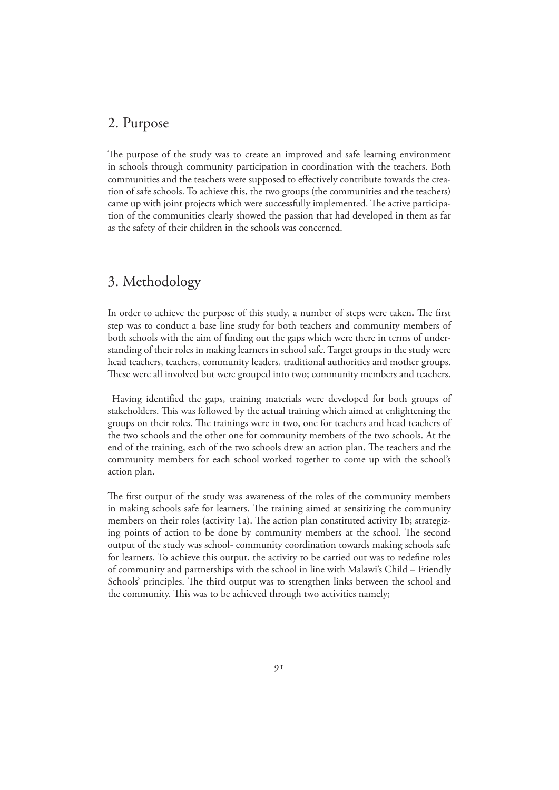## 2. Purpose

The purpose of the study was to create an improved and safe learning environment in schools through community participation in coordination with the teachers. Both communities and the teachers were supposed to effectively contribute towards the creation of safe schools. To achieve this, the two groups (the communities and the teachers) came up with joint projects which were successfully implemented. The active participation of the communities clearly showed the passion that had developed in them as far as the safety of their children in the schools was concerned.

## 3. Methodology

In order to achieve the purpose of this study, a number of steps were taken**.** The first step was to conduct a base line study for both teachers and community members of both schools with the aim of finding out the gaps which were there in terms of understanding of their roles in making learners in school safe. Target groups in the study were head teachers, teachers, community leaders, traditional authorities and mother groups. These were all involved but were grouped into two; community members and teachers.

 Having identified the gaps, training materials were developed for both groups of stakeholders. This was followed by the actual training which aimed at enlightening the groups on their roles. The trainings were in two, one for teachers and head teachers of the two schools and the other one for community members of the two schools. At the end of the training, each of the two schools drew an action plan. The teachers and the community members for each school worked together to come up with the school's action plan.

The first output of the study was awareness of the roles of the community members in making schools safe for learners. The training aimed at sensitizing the community members on their roles (activity 1a). The action plan constituted activity 1b; strategizing points of action to be done by community members at the school. The second output of the study was school- community coordination towards making schools safe for learners. To achieve this output, the activity to be carried out was to redefine roles of community and partnerships with the school in line with Malawi's Child – Friendly Schools' principles. The third output was to strengthen links between the school and the community. This was to be achieved through two activities namely;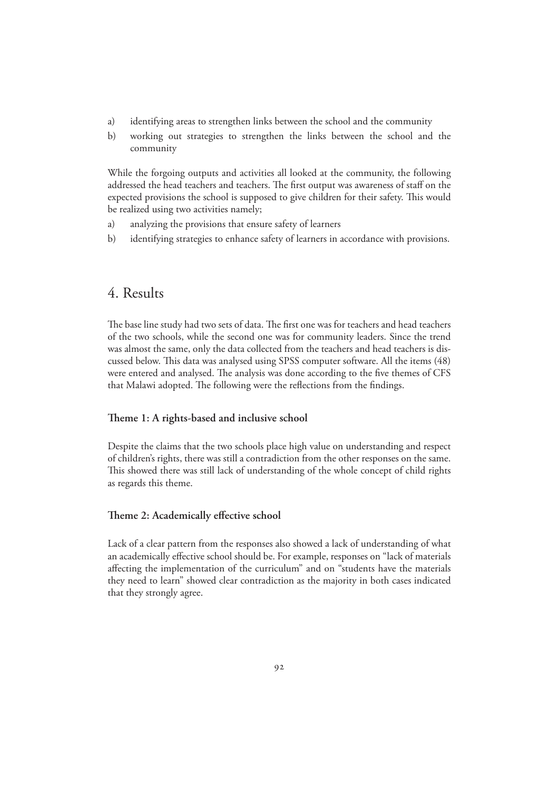- a) identifying areas to strengthen links between the school and the community
- b) working out strategies to strengthen the links between the school and the community

While the forgoing outputs and activities all looked at the community, the following addressed the head teachers and teachers. The first output was awareness of staff on the expected provisions the school is supposed to give children for their safety. This would be realized using two activities namely;

- a) analyzing the provisions that ensure safety of learners
- b) identifying strategies to enhance safety of learners in accordance with provisions.

## 4. Results

The base line study had two sets of data. The first one was for teachers and head teachers of the two schools, while the second one was for community leaders. Since the trend was almost the same, only the data collected from the teachers and head teachers is discussed below. This data was analysed using SPSS computer software. All the items (48) were entered and analysed. The analysis was done according to the five themes of CFS that Malawi adopted. The following were the reflections from the findings.

#### **Theme 1: A rights-based and inclusive school**

Despite the claims that the two schools place high value on understanding and respect of children's rights, there was still a contradiction from the other responses on the same. This showed there was still lack of understanding of the whole concept of child rights as regards this theme.

#### **Theme 2: Academically effective school**

Lack of a clear pattern from the responses also showed a lack of understanding of what an academically effective school should be. For example, responses on "lack of materials affecting the implementation of the curriculum" and on "students have the materials they need to learn" showed clear contradiction as the majority in both cases indicated that they strongly agree.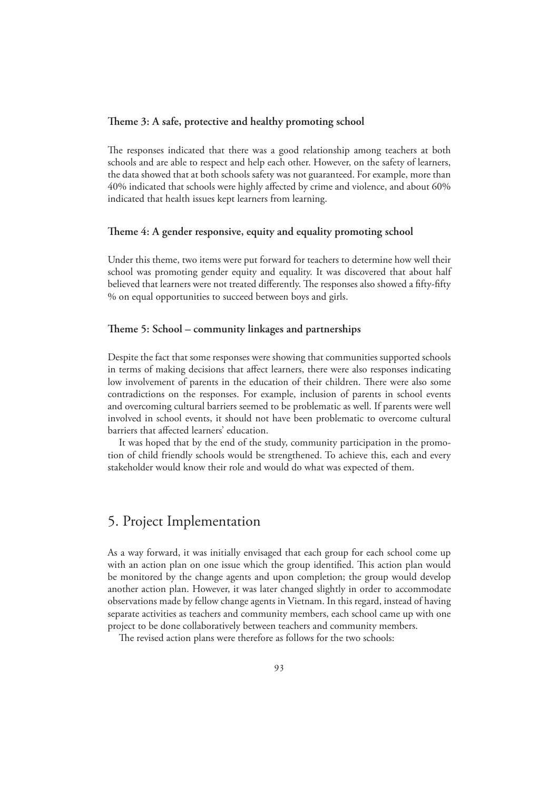#### **Theme 3: A safe, protective and healthy promoting school**

The responses indicated that there was a good relationship among teachers at both schools and are able to respect and help each other. However, on the safety of learners, the data showed that at both schools safety was not guaranteed. For example, more than 40% indicated that schools were highly affected by crime and violence, and about 60% indicated that health issues kept learners from learning.

#### **Theme 4: A gender responsive, equity and equality promoting school**

Under this theme, two items were put forward for teachers to determine how well their school was promoting gender equity and equality. It was discovered that about half believed that learners were not treated differently. The responses also showed a fifty-fifty % on equal opportunities to succeed between boys and girls.

#### **Theme 5: School – community linkages and partnerships**

Despite the fact that some responses were showing that communities supported schools in terms of making decisions that affect learners, there were also responses indicating low involvement of parents in the education of their children. There were also some contradictions on the responses. For example, inclusion of parents in school events and overcoming cultural barriers seemed to be problematic as well. If parents were well involved in school events, it should not have been problematic to overcome cultural barriers that affected learners' education.

 It was hoped that by the end of the study, community participation in the promotion of child friendly schools would be strengthened. To achieve this, each and every stakeholder would know their role and would do what was expected of them.

## 5. Project Implementation

As a way forward, it was initially envisaged that each group for each school come up with an action plan on one issue which the group identified. This action plan would be monitored by the change agents and upon completion; the group would develop another action plan. However, it was later changed slightly in order to accommodate observations made by fellow change agents in Vietnam. In this regard, instead of having separate activities as teachers and community members, each school came up with one project to be done collaboratively between teachers and community members.

The revised action plans were therefore as follows for the two schools: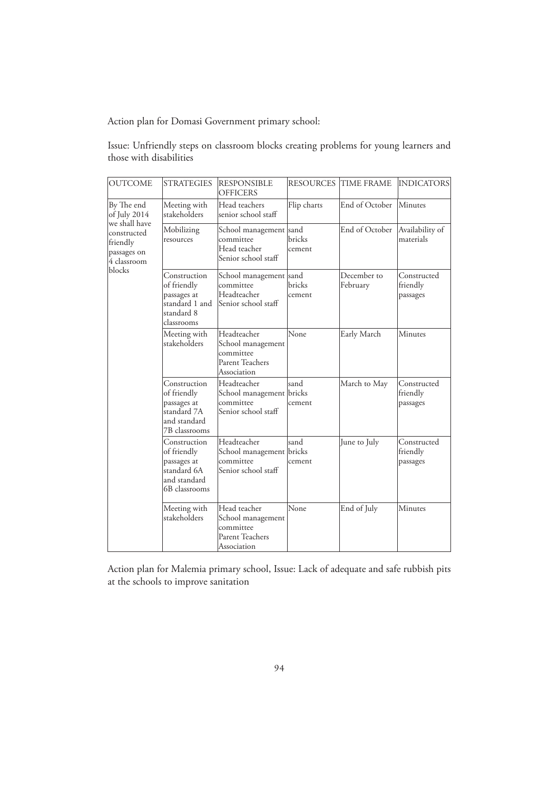Action plan for Domasi Government primary school:

| Issue: Unfriendly steps on classroom blocks creating problems for young learners and |  |  |  |  |  |
|--------------------------------------------------------------------------------------|--|--|--|--|--|
| those with disabilities                                                              |  |  |  |  |  |
|                                                                                      |  |  |  |  |  |

| <b>OUTCOME</b>                                        | <b>STRATEGIES</b>                                                                          | <b>RESPONSIBLE</b><br><b>OFFICERS</b>                                            |                          | <b>RESOURCES TIME FRAME</b> | INDICATORS                          |
|-------------------------------------------------------|--------------------------------------------------------------------------------------------|----------------------------------------------------------------------------------|--------------------------|-----------------------------|-------------------------------------|
| By The end<br>of July 2014<br>we shall have           | Meeting with<br>stakeholders                                                               | Head teachers<br>senior school staff                                             | Flip charts              | End of October              | Minutes                             |
| constructed<br>friendly<br>passages on<br>4 classroom | Mobilizing<br>resources                                                                    | School management<br>committee<br>Head teacher<br>Senior school staff            | sand<br>bricks<br>cement | End of October              | Availability of<br>materials        |
| blocks                                                | Construction<br>of friendly<br>passages at<br>standard 1 and<br>standard 8<br>classrooms   | School management sand<br>committee<br>Headteacher<br>Senior school staff        | bricks<br>cement         | December to<br>February     | Constructed<br>friendly<br>passages |
|                                                       | Meeting with<br>stakeholders                                                               | Headteacher<br>School management<br>committee<br>Parent Teachers<br>Association  | None                     | Early March                 | Minutes                             |
|                                                       | Construction<br>of friendly<br>passages at<br>standard 7A<br>and standard<br>7B classrooms | Headteacher<br>School management bricks<br>committee<br>Senior school staff      | sand<br>cement           | March to May                | Constructed<br>friendly<br>passages |
|                                                       | Construction<br>of friendly<br>passages at<br>standard 6A<br>and standard<br>6B classrooms | Headteacher<br>School management bricks<br>committee<br>Senior school staff      | sand<br>cement           | June to July                | Constructed<br>friendly<br>passages |
|                                                       | Meeting with<br>stakeholders                                                               | Head teacher<br>School management<br>committee<br>Parent Teachers<br>Association | None                     | End of July                 | Minutes                             |

Action plan for Malemia primary school, Issue: Lack of adequate and safe rubbish pits at the schools to improve sanitation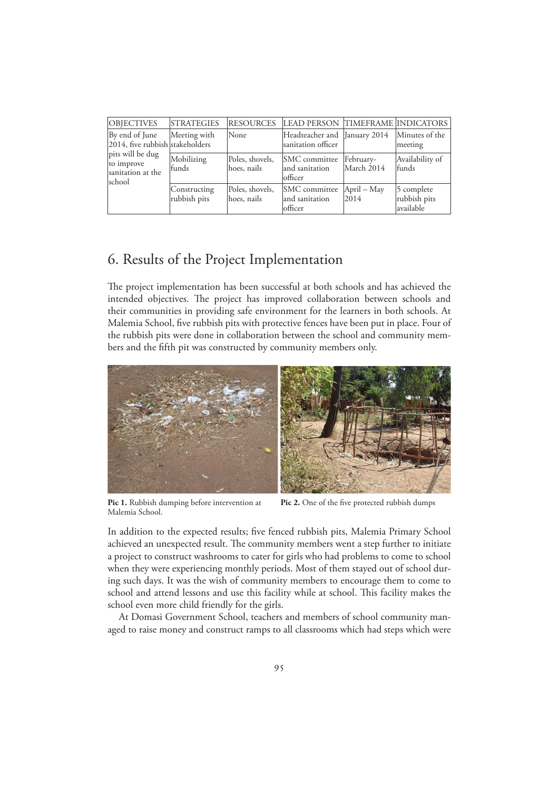| <b>OBJECTIVES</b>                                             | <b>STRATEGIES</b>            | <b>RESOURCES</b>               | LEAD PERSON TIMEFRAME INDICATORS                   |                         |                                         |
|---------------------------------------------------------------|------------------------------|--------------------------------|----------------------------------------------------|-------------------------|-----------------------------------------|
| By end of June<br>2014, five rubbish stakeholders             | Meeting with                 | None                           | Headteacher and January 2014<br>sanitation officer |                         | Minutes of the<br>meeting               |
| pits will be dug<br>to improve<br>sanitation at the<br>school | Mobilizing<br>funds          | Poles, shovels,<br>hoes, nails | SMC committee<br>and sanitation<br>officer         | February-<br>March 2014 | Availability of<br>funds                |
|                                                               | Constructing<br>rubbish pits | Poles, shovels,<br>hoes, nails | SMC committee<br>and sanitation<br>officer         | April – May<br>2014     | 5 complete<br>rubbish pits<br>available |

# 6. Results of the Project Implementation

The project implementation has been successful at both schools and has achieved the intended objectives. The project has improved collaboration between schools and their communities in providing safe environment for the learners in both schools. At Malemia School, five rubbish pits with protective fences have been put in place. Four of the rubbish pits were done in collaboration between the school and community members and the fifth pit was constructed by community members only.



**Pic 1.** Rubbish dumping before intervention at **Pic 2.** One of the five protected rubbish dumps Malemia School.

In addition to the expected results; five fenced rubbish pits, Malemia Primary School achieved an unexpected result. The community members went a step further to initiate a project to construct washrooms to cater for girls who had problems to come to school when they were experiencing monthly periods. Most of them stayed out of school during such days. It was the wish of community members to encourage them to come to school and attend lessons and use this facility while at school. This facility makes the school even more child friendly for the girls.

 At Domasi Government School, teachers and members of school community managed to raise money and construct ramps to all classrooms which had steps which were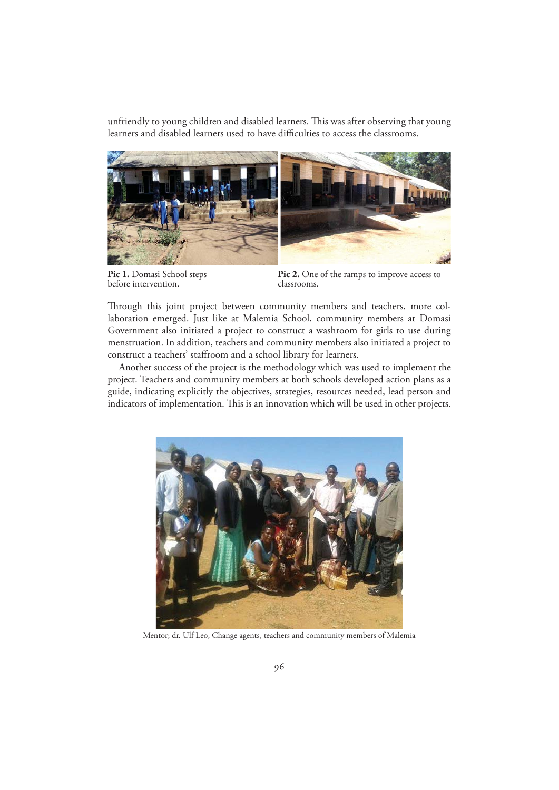unfriendly to young children and disabled learners. This was after observing that young learners and disabled learners used to have difficulties to access the classrooms.



before intervention.

**Pic 1.** Domasi School steps **Pic 2.** One of the ramps to improve access to before intervention.

Through this joint project between community members and teachers, more collaboration emerged. Just like at Malemia School, community members at Domasi Government also initiated a project to construct a washroom for girls to use during menstruation. In addition, teachers and community members also initiated a project to construct a teachers' staffroom and a school library for learners.

 Another success of the project is the methodology which was used to implement the project. Teachers and community members at both schools developed action plans as a guide, indicating explicitly the objectives, strategies, resources needed, lead person and indicators of implementation. This is an innovation which will be used in other projects.



Mentor; dr. Ulf Leo, Change agents, teachers and community members of Malemia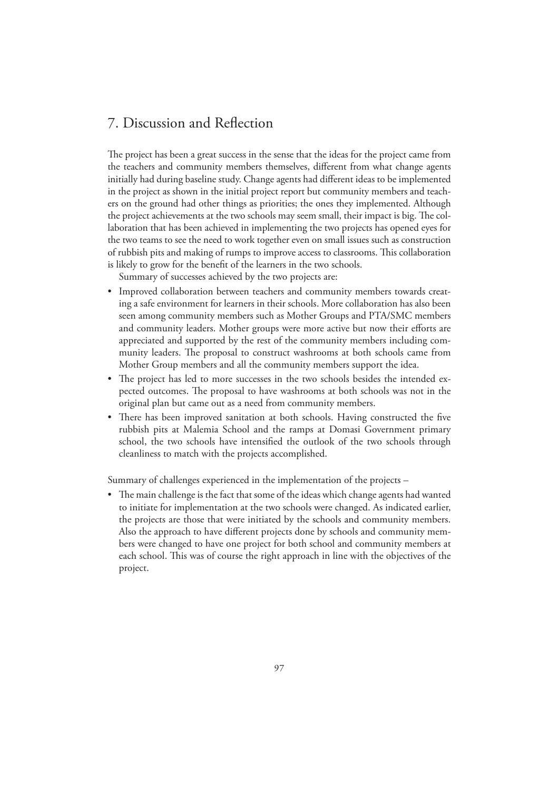# 7. Discussion and Reflection

The project has been a great success in the sense that the ideas for the project came from the teachers and community members themselves, different from what change agents initially had during baseline study. Change agents had different ideas to be implemented in the project as shown in the initial project report but community members and teachers on the ground had other things as priorities; the ones they implemented. Although the project achievements at the two schools may seem small, their impact is big. The collaboration that has been achieved in implementing the two projects has opened eyes for the two teams to see the need to work together even on small issues such as construction of rubbish pits and making of rumps to improve access to classrooms. This collaboration is likely to grow for the benefit of the learners in the two schools.

Summary of successes achieved by the two projects are:

- Improved collaboration between teachers and community members towards creating a safe environment for learners in their schools. More collaboration has also been seen among community members such as Mother Groups and PTA/SMC members and community leaders. Mother groups were more active but now their efforts are appreciated and supported by the rest of the community members including community leaders. The proposal to construct washrooms at both schools came from Mother Group members and all the community members support the idea.
- The project has led to more successes in the two schools besides the intended expected outcomes. The proposal to have washrooms at both schools was not in the original plan but came out as a need from community members.
- There has been improved sanitation at both schools. Having constructed the five rubbish pits at Malemia School and the ramps at Domasi Government primary school, the two schools have intensified the outlook of the two schools through cleanliness to match with the projects accomplished.

Summary of challenges experienced in the implementation of the projects –

• The main challenge is the fact that some of the ideas which change agents had wanted to initiate for implementation at the two schools were changed. As indicated earlier, the projects are those that were initiated by the schools and community members. Also the approach to have different projects done by schools and community members were changed to have one project for both school and community members at each school. This was of course the right approach in line with the objectives of the project.